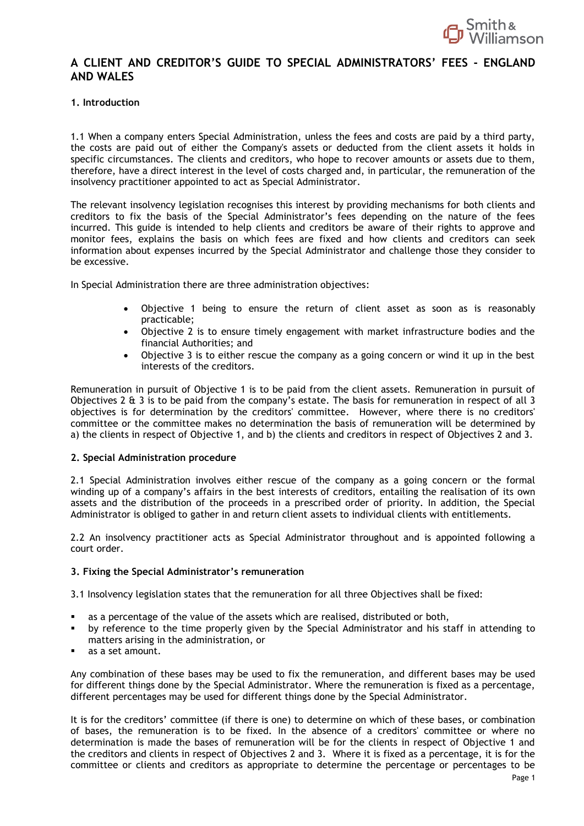

## **A CLIENT AND CREDITOR'S GUIDE TO SPECIAL ADMINISTRATORS' FEES - ENGLAND AND WALES**

## **1. Introduction**

1.1 When a company enters Special Administration, unless the fees and costs are paid by a third party, the costs are paid out of either the Company's assets or deducted from the client assets it holds in specific circumstances. The clients and creditors, who hope to recover amounts or assets due to them, therefore, have a direct interest in the level of costs charged and, in particular, the remuneration of the insolvency practitioner appointed to act as Special Administrator.

The relevant insolvency legislation recognises this interest by providing mechanisms for both clients and creditors to fix the basis of the Special Administrator's fees depending on the nature of the fees incurred. This guide is intended to help clients and creditors be aware of their rights to approve and monitor fees, explains the basis on which fees are fixed and how clients and creditors can seek information about expenses incurred by the Special Administrator and challenge those they consider to be excessive.

In Special Administration there are three administration objectives:

- Objective 1 being to ensure the return of client asset as soon as is reasonably practicable;
- Objective 2 is to ensure timely engagement with market infrastructure bodies and the financial Authorities; and
- Objective 3 is to either rescue the company as a going concern or wind it up in the best interests of the creditors.

Remuneration in pursuit of Objective 1 is to be paid from the client assets. Remuneration in pursuit of Objectives 2 & 3 is to be paid from the company's estate. The basis for remuneration in respect of all 3 objectives is for determination by the creditors' committee. However, where there is no creditors' committee or the committee makes no determination the basis of remuneration will be determined by a) the clients in respect of Objective 1, and b) the clients and creditors in respect of Objectives 2 and 3.

#### **2. Special Administration procedure**

2.1 Special Administration involves either rescue of the company as a going concern or the formal winding up of a company's affairs in the best interests of creditors, entailing the realisation of its own assets and the distribution of the proceeds in a prescribed order of priority. In addition, the Special Administrator is obliged to gather in and return client assets to individual clients with entitlements.

2.2 An insolvency practitioner acts as Special Administrator throughout and is appointed following a court order.

#### **3. Fixing the Special Administrator's remuneration**

3.1 Insolvency legislation states that the remuneration for all three Objectives shall be fixed:

- as a percentage of the value of the assets which are realised, distributed or both,
- by reference to the time properly given by the Special Administrator and his staff in attending to matters arising in the administration, or
- as a set amount.

Any combination of these bases may be used to fix the remuneration, and different bases may be used for different things done by the Special Administrator. Where the remuneration is fixed as a percentage, different percentages may be used for different things done by the Special Administrator.

It is for the creditors' committee (if there is one) to determine on which of these bases, or combination of bases, the remuneration is to be fixed. In the absence of a creditors' committee or where no determination is made the bases of remuneration will be for the clients in respect of Objective 1 and the creditors and clients in respect of Objectives 2 and 3. Where it is fixed as a percentage, it is for the committee or clients and creditors as appropriate to determine the percentage or percentages to be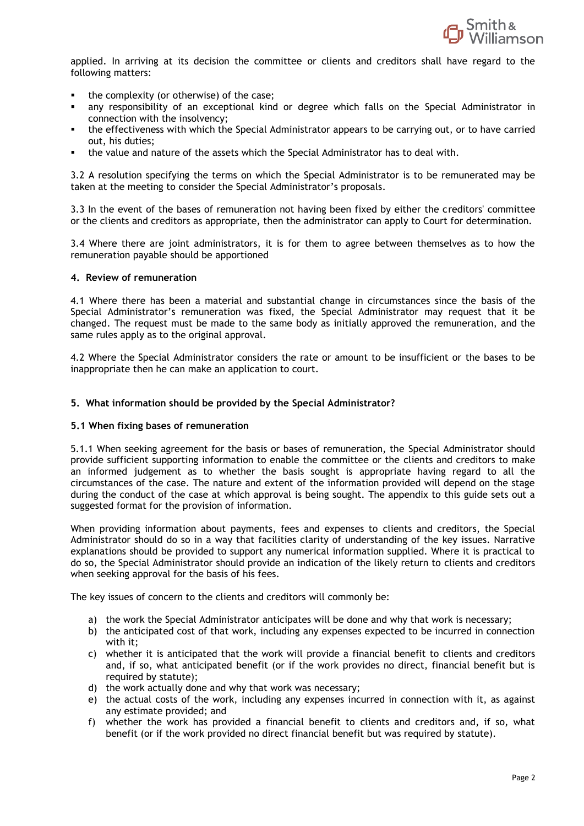

applied. In arriving at its decision the committee or clients and creditors shall have regard to the following matters:

- the complexity (or otherwise) of the case;
- any responsibility of an exceptional kind or degree which falls on the Special Administrator in connection with the insolvency;
- the effectiveness with which the Special Administrator appears to be carrying out, or to have carried out, his duties;
- the value and nature of the assets which the Special Administrator has to deal with.

3.2 A resolution specifying the terms on which the Special Administrator is to be remunerated may be taken at the meeting to consider the Special Administrator's proposals.

3.3 In the event of the bases of remuneration not having been fixed by either the creditors' committee or the clients and creditors as appropriate, then the administrator can apply to Court for determination.

3.4 Where there are joint administrators, it is for them to agree between themselves as to how the remuneration payable should be apportioned

#### **4. Review of remuneration**

4.1 Where there has been a material and substantial change in circumstances since the basis of the Special Administrator's remuneration was fixed, the Special Administrator may request that it be changed. The request must be made to the same body as initially approved the remuneration, and the same rules apply as to the original approval.

4.2 Where the Special Administrator considers the rate or amount to be insufficient or the bases to be inappropriate then he can make an application to court.

## **5. What information should be provided by the Special Administrator?**

#### **5.1 When fixing bases of remuneration**

5.1.1 When seeking agreement for the basis or bases of remuneration, the Special Administrator should provide sufficient supporting information to enable the committee or the clients and creditors to make an informed judgement as to whether the basis sought is appropriate having regard to all the circumstances of the case. The nature and extent of the information provided will depend on the stage during the conduct of the case at which approval is being sought. The appendix to this guide sets out a suggested format for the provision of information.

When providing information about payments, fees and expenses to clients and creditors, the Special Administrator should do so in a way that facilities clarity of understanding of the key issues. Narrative explanations should be provided to support any numerical information supplied. Where it is practical to do so, the Special Administrator should provide an indication of the likely return to clients and creditors when seeking approval for the basis of his fees.

The key issues of concern to the clients and creditors will commonly be:

- a) the work the Special Administrator anticipates will be done and why that work is necessary;
- b) the anticipated cost of that work, including any expenses expected to be incurred in connection with it;
- c) whether it is anticipated that the work will provide a financial benefit to clients and creditors and, if so, what anticipated benefit (or if the work provides no direct, financial benefit but is required by statute);
- d) the work actually done and why that work was necessary;
- e) the actual costs of the work, including any expenses incurred in connection with it, as against any estimate provided; and
- f) whether the work has provided a financial benefit to clients and creditors and, if so, what benefit (or if the work provided no direct financial benefit but was required by statute).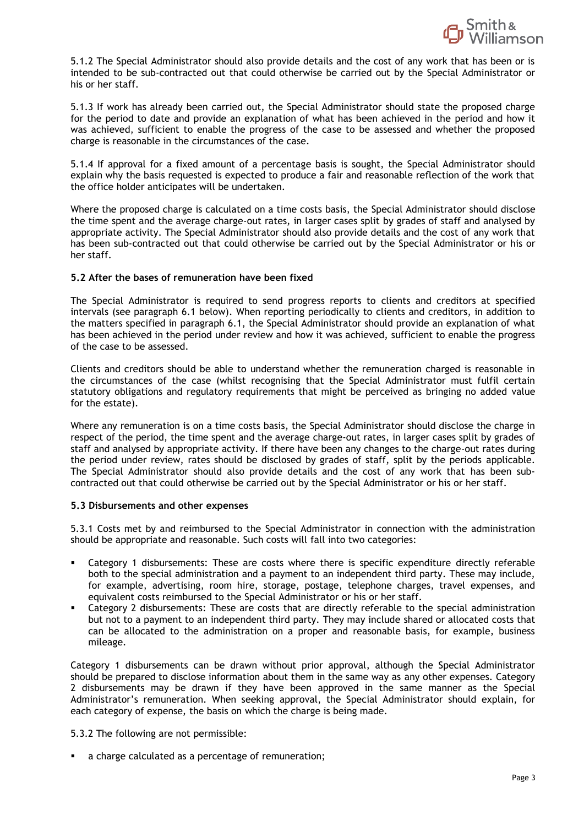

5.1.2 The Special Administrator should also provide details and the cost of any work that has been or is intended to be sub-contracted out that could otherwise be carried out by the Special Administrator or his or her staff.

5.1.3 If work has already been carried out, the Special Administrator should state the proposed charge for the period to date and provide an explanation of what has been achieved in the period and how it was achieved, sufficient to enable the progress of the case to be assessed and whether the proposed charge is reasonable in the circumstances of the case.

5.1.4 If approval for a fixed amount of a percentage basis is sought, the Special Administrator should explain why the basis requested is expected to produce a fair and reasonable reflection of the work that the office holder anticipates will be undertaken.

Where the proposed charge is calculated on a time costs basis, the Special Administrator should disclose the time spent and the average charge-out rates, in larger cases split by grades of staff and analysed by appropriate activity. The Special Administrator should also provide details and the cost of any work that has been sub-contracted out that could otherwise be carried out by the Special Administrator or his or her staff.

## **5.2 After the bases of remuneration have been fixed**

The Special Administrator is required to send progress reports to clients and creditors at specified intervals (see paragraph 6.1 below). When reporting periodically to clients and creditors, in addition to the matters specified in paragraph 6.1, the Special Administrator should provide an explanation of what has been achieved in the period under review and how it was achieved, sufficient to enable the progress of the case to be assessed.

Clients and creditors should be able to understand whether the remuneration charged is reasonable in the circumstances of the case (whilst recognising that the Special Administrator must fulfil certain statutory obligations and regulatory requirements that might be perceived as bringing no added value for the estate).

Where any remuneration is on a time costs basis, the Special Administrator should disclose the charge in respect of the period, the time spent and the average charge-out rates, in larger cases split by grades of staff and analysed by appropriate activity. If there have been any changes to the charge-out rates during the period under review, rates should be disclosed by grades of staff, split by the periods applicable. The Special Administrator should also provide details and the cost of any work that has been subcontracted out that could otherwise be carried out by the Special Administrator or his or her staff.

#### **5.3 Disbursements and other expenses**

5.3.1 Costs met by and reimbursed to the Special Administrator in connection with the administration should be appropriate and reasonable. Such costs will fall into two categories:

- Category 1 disbursements: These are costs where there is specific expenditure directly referable both to the special administration and a payment to an independent third party. These may include, for example, advertising, room hire, storage, postage, telephone charges, travel expenses, and equivalent costs reimbursed to the Special Administrator or his or her staff.
- Category 2 disbursements: These are costs that are directly referable to the special administration but not to a payment to an independent third party. They may include shared or allocated costs that can be allocated to the administration on a proper and reasonable basis, for example, business mileage.

Category 1 disbursements can be drawn without prior approval, although the Special Administrator should be prepared to disclose information about them in the same way as any other expenses. Category 2 disbursements may be drawn if they have been approved in the same manner as the Special Administrator's remuneration. When seeking approval, the Special Administrator should explain, for each category of expense, the basis on which the charge is being made.

5.3.2 The following are not permissible:

■ a charge calculated as a percentage of remuneration;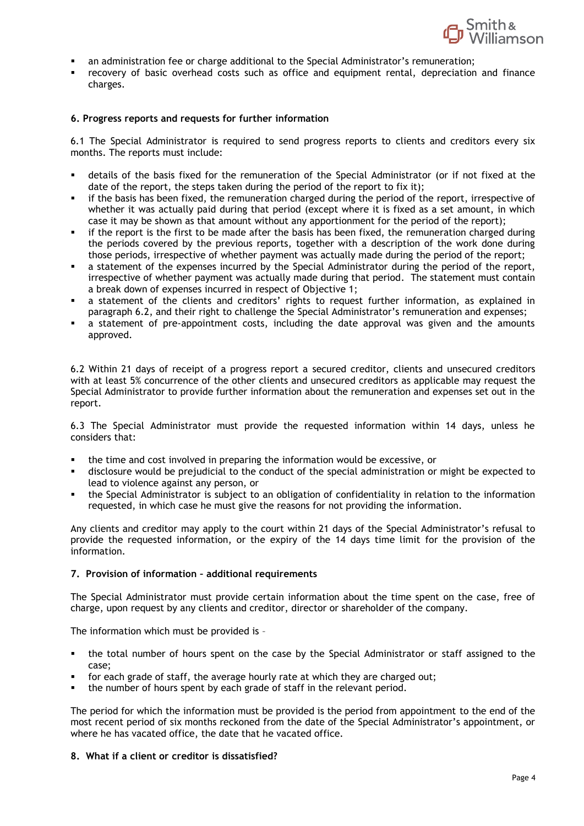

- an administration fee or charge additional to the Special Administrator's remuneration;
- recovery of basic overhead costs such as office and equipment rental, depreciation and finance charges.

#### **6. Progress reports and requests for further information**

6.1 The Special Administrator is required to send progress reports to clients and creditors every six months. The reports must include:

- details of the basis fixed for the remuneration of the Special Administrator (or if not fixed at the date of the report, the steps taken during the period of the report to fix it);
- if the basis has been fixed, the remuneration charged during the period of the report, irrespective of whether it was actually paid during that period (except where it is fixed as a set amount, in which case it may be shown as that amount without any apportionment for the period of the report);
- if the report is the first to be made after the basis has been fixed, the remuneration charged during the periods covered by the previous reports, together with a description of the work done during those periods, irrespective of whether payment was actually made during the period of the report;
- a statement of the expenses incurred by the Special Administrator during the period of the report, irrespective of whether payment was actually made during that period. The statement must contain a break down of expenses incurred in respect of Objective 1;
- a statement of the clients and creditors' rights to request further information, as explained in paragraph 6.2, and their right to challenge the Special Administrator's remuneration and expenses;
- a statement of pre-appointment costs, including the date approval was given and the amounts approved.

6.2 Within 21 days of receipt of a progress report a secured creditor, clients and unsecured creditors with at least 5% concurrence of the other clients and unsecured creditors as applicable may request the Special Administrator to provide further information about the remuneration and expenses set out in the report.

6.3 The Special Administrator must provide the requested information within 14 days, unless he considers that:

- the time and cost involved in preparing the information would be excessive, or
- disclosure would be prejudicial to the conduct of the special administration or might be expected to lead to violence against any person, or
- the Special Administrator is subject to an obligation of confidentiality in relation to the information requested, in which case he must give the reasons for not providing the information.

Any clients and creditor may apply to the court within 21 days of the Special Administrator's refusal to provide the requested information, or the expiry of the 14 days time limit for the provision of the information.

## **7. Provision of information – additional requirements**

The Special Administrator must provide certain information about the time spent on the case, free of charge, upon request by any clients and creditor, director or shareholder of the company.

The information which must be provided is –

- the total number of hours spent on the case by the Special Administrator or staff assigned to the case;
- for each grade of staff, the average hourly rate at which they are charged out;
- the number of hours spent by each grade of staff in the relevant period.

The period for which the information must be provided is the period from appointment to the end of the most recent period of six months reckoned from the date of the Special Administrator's appointment, or where he has vacated office, the date that he vacated office.

## **8. What if a client or creditor is dissatisfied?**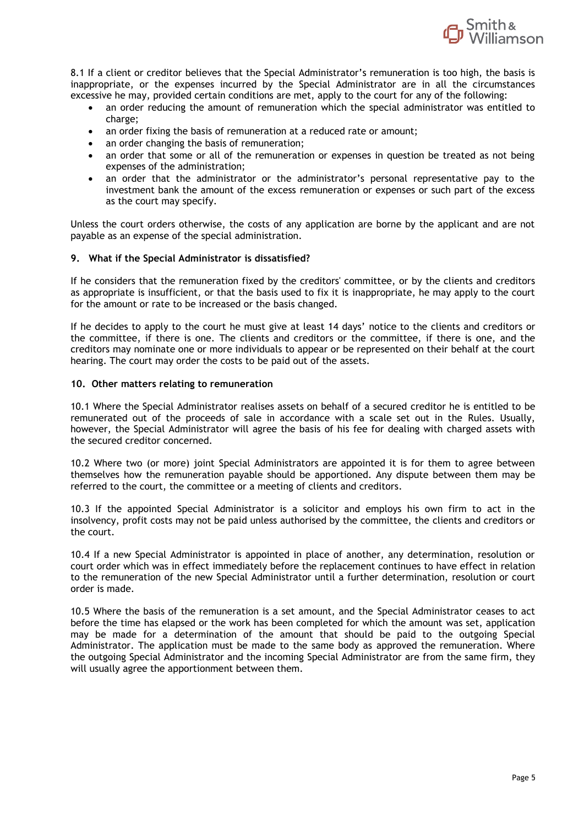

8.1 If a client or creditor believes that the Special Administrator's remuneration is too high, the basis is inappropriate, or the expenses incurred by the Special Administrator are in all the circumstances excessive he may, provided certain conditions are met, apply to the court for any of the following:

- an order reducing the amount of remuneration which the special administrator was entitled to charge;
- an order fixing the basis of remuneration at a reduced rate or amount;
- an order changing the basis of remuneration;
- an order that some or all of the remuneration or expenses in question be treated as not being expenses of the administration;
- an order that the administrator or the administrator's personal representative pay to the investment bank the amount of the excess remuneration or expenses or such part of the excess as the court may specify.

Unless the court orders otherwise, the costs of any application are borne by the applicant and are not payable as an expense of the special administration.

## **9. What if the Special Administrator is dissatisfied?**

If he considers that the remuneration fixed by the creditors' committee, or by the clients and creditors as appropriate is insufficient, or that the basis used to fix it is inappropriate, he may apply to the court for the amount or rate to be increased or the basis changed.

If he decides to apply to the court he must give at least 14 days' notice to the clients and creditors or the committee, if there is one. The clients and creditors or the committee, if there is one, and the creditors may nominate one or more individuals to appear or be represented on their behalf at the court hearing. The court may order the costs to be paid out of the assets.

#### **10. Other matters relating to remuneration**

10.1 Where the Special Administrator realises assets on behalf of a secured creditor he is entitled to be remunerated out of the proceeds of sale in accordance with a scale set out in the Rules. Usually, however, the Special Administrator will agree the basis of his fee for dealing with charged assets with the secured creditor concerned.

10.2 Where two (or more) joint Special Administrators are appointed it is for them to agree between themselves how the remuneration payable should be apportioned. Any dispute between them may be referred to the court, the committee or a meeting of clients and creditors.

10.3 If the appointed Special Administrator is a solicitor and employs his own firm to act in the insolvency, profit costs may not be paid unless authorised by the committee, the clients and creditors or the court.

10.4 If a new Special Administrator is appointed in place of another, any determination, resolution or court order which was in effect immediately before the replacement continues to have effect in relation to the remuneration of the new Special Administrator until a further determination, resolution or court order is made.

10.5 Where the basis of the remuneration is a set amount, and the Special Administrator ceases to act before the time has elapsed or the work has been completed for which the amount was set, application may be made for a determination of the amount that should be paid to the outgoing Special Administrator. The application must be made to the same body as approved the remuneration. Where the outgoing Special Administrator and the incoming Special Administrator are from the same firm, they will usually agree the apportionment between them.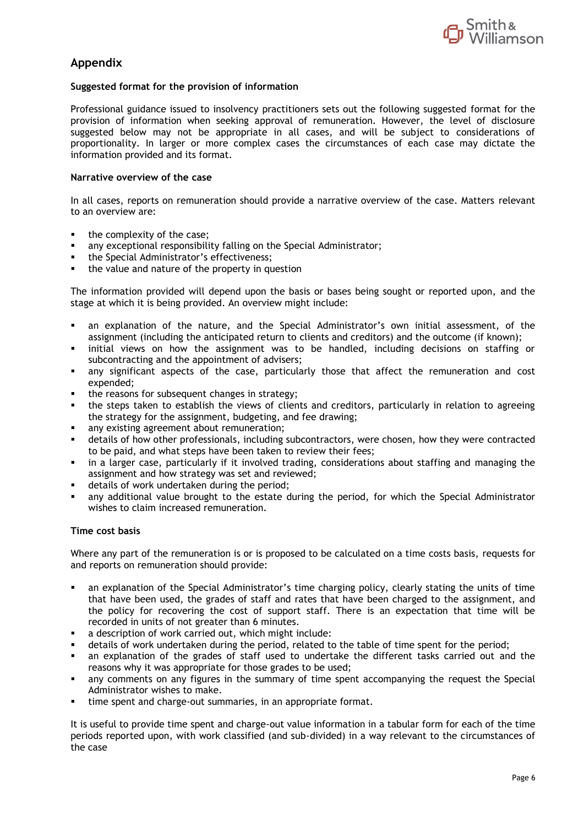

# **Appendix**

## **Suggested format for the provision of information**

Professional guidance issued to insolvency practitioners sets out the following suggested format for the provision of information when seeking approval of remuneration. However, the level of disclosure suggested below may not be appropriate in all cases, and will be subject to considerations of proportionality. In larger or more complex cases the circumstances of each case may dictate the information provided and its format.

## **Narrative overview of the case**

In all cases, reports on remuneration should provide a narrative overview of the case. Matters relevant to an overview are:

- the complexity of the case:
- any exceptional responsibility falling on the Special Administrator;
- the Special Administrator's effectiveness;
- the value and nature of the property in question

The information provided will depend upon the basis or bases being sought or reported upon, and the stage at which it is being provided. An overview might include:

- an explanation of the nature, and the Special Administrator's own initial assessment, of the assignment (including the anticipated return to clients and creditors) and the outcome (if known);
- initial views on how the assignment was to be handled, including decisions on staffing or subcontracting and the appointment of advisers;
- any significant aspects of the case, particularly those that affect the remuneration and cost expended;
- the reasons for subsequent changes in strategy:
- the steps taken to establish the views of clients and creditors, particularly in relation to agreeing the strategy for the assignment, budgeting, and fee drawing;
- any existing agreement about remuneration;
- details of how other professionals, including subcontractors, were chosen, how they were contracted to be paid, and what steps have been taken to review their fees;
- in a larger case, particularly if it involved trading, considerations about staffing and managing the assignment and how strategy was set and reviewed;
- details of work undertaken during the period;
- any additional value brought to the estate during the period, for which the Special Administrator wishes to claim increased remuneration.

## **Time cost basis**

Where any part of the remuneration is or is proposed to be calculated on a time costs basis, requests for and reports on remuneration should provide:

- an explanation of the Special Administrator's time charging policy, clearly stating the units of time that have been used, the grades of staff and rates that have been charged to the assignment, and the policy for recovering the cost of support staff. There is an expectation that time will be recorded in units of not greater than 6 minutes.
- a description of work carried out, which might include:
- details of work undertaken during the period, related to the table of time spent for the period;
- an explanation of the grades of staff used to undertake the different tasks carried out and the reasons why it was appropriate for those grades to be used;
- any comments on any figures in the summary of time spent accompanying the request the Special Administrator wishes to make.
- time spent and charge-out summaries, in an appropriate format.

It is useful to provide time spent and charge-out value information in a tabular form for each of the time periods reported upon, with work classified (and sub-divided) in a way relevant to the circumstances of the case